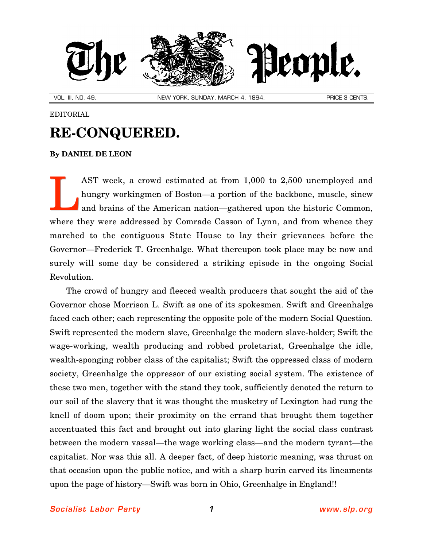

VOL. III, NO. 49. NEW YORK, SUNDAY, MARCH 4, 1894. PRICE 3 CENTS.

## EDITORIAL

## **RE-CONQUERED.**

## **By [DANIEL DE LEON](http://slp.org/De_Leon.htm)**

AST week, a crowd estimated at from 1,000 to 2,500 unemployed and hungry workingmen of Boston—a portion of the backbone, muscle, sinew and brains of the American nation—gathered upon the historic Common, where they were addressed by Comrade Casson of Lynn, and from whence they marched to the contiguous State House to lay their grievances before the Governor—Frederick T. Greenhalge. What thereupon took place may be now and surely will some day be considered a striking episode in the ongoing Social Revolution. L

The crowd of hungry and fleeced wealth producers that sought the aid of the Governor chose Morrison L. Swift as one of its spokesmen. Swift and Greenhalge faced each other; each representing the opposite pole of the modern Social Question. Swift represented the modern slave, Greenhalge the modern slave-holder; Swift the wage-working, wealth producing and robbed proletariat, Greenhalge the idle, wealth-sponging robber class of the capitalist; Swift the oppressed class of modern society, Greenhalge the oppressor of our existing social system. The existence of these two men, together with the stand they took, sufficiently denoted the return to our soil of the slavery that it was thought the musketry of Lexington had rung the knell of doom upon; their proximity on the errand that brought them together accentuated this fact and brought out into glaring light the social class contrast between the modern vassal—the wage working class—and the modern tyrant—the capitalist. Nor was this all. A deeper fact, of deep historic meaning, was thrust on that occasion upon the public notice, and with a sharp burin carved its lineaments upon the page of history—Swift was born in Ohio, Greenhalge in England!!